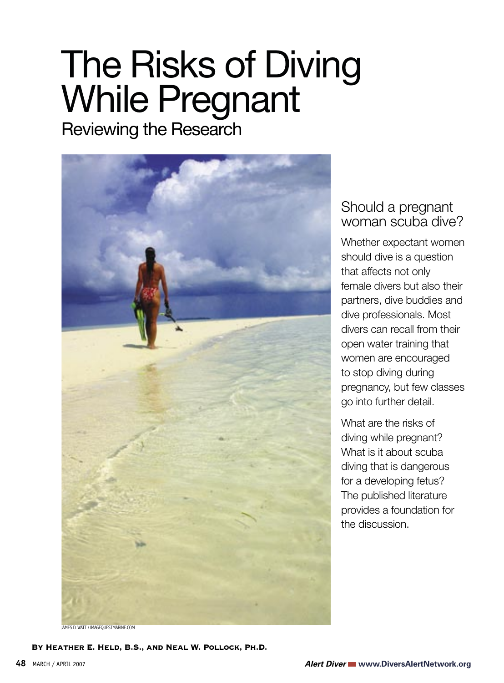# The Risks of Diving While Pregnant

Reviewing the Research



D. WATT / IMAGEQUESTMARINE COM

By Heather E. Held, B.S., and Neal W. Pollock, Ph.D.

# Should a pregnant woman scuba dive?

Whether expectant women should dive is a question that affects not only female divers but also their partners, dive buddies and dive professionals. Most divers can recall from their open water training that women are encouraged to stop diving during pregnancy, but few classes go into further detail.

What are the risks of diving while pregnant? What is it about scuba diving that is dangerous for a developing fetus? The published literature provides a foundation for the discussion.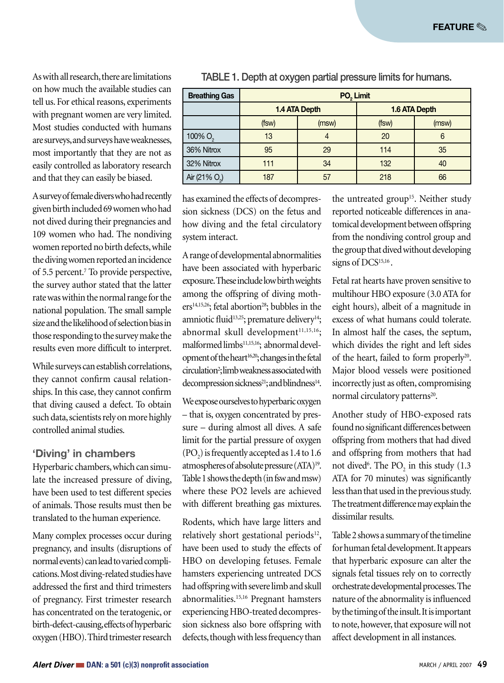As with all research, there are limitations on how much the available studies can tell us. For ethical reasons, experiments with pregnant women are very limited. Most studies conducted with humans are surveys, and surveys have weaknesses, most importantly that they are not as easily controlled as laboratory research and that they can easily be biased.

A survey of female divers who had recently given birth included 69 women who had not dived during their pregnancies and 109 women who had. The nondiving women reported no birth defects, while the diving women reported an incidence of 5.5 percent.7 To provide perspective, the survey author stated that the latter rate was within the normal range for the national population. The small sample size and the likelihood of selection bias in those responding to the survey make the results even more difficult to interpret.

While surveys can establish correlations, they cannot confirm causal relationships. In this case, they cannot confirm that diving caused a defect. To obtain such data, scientists rely on more highly controlled animal studies.

#### **'Diving' in chambers**

Hyperbaric chambers, which can simulate the increased pressure of diving, have been used to test different species of animals. Those results must then be translated to the human experience.

Many complex processes occur during pregnancy, and insults (disruptions of normal events) can lead to varied complications. Most diving-related studies have addressed the first and third trimesters of pregnancy. First trimester research has concentrated on the teratogenic, or birth-defect-causing, effects of hyperbaric oxygen (HBO). Third trimester research

| <b>Breathing Gas</b>      | PO <sub>2</sub> Limit |       |               |       |
|---------------------------|-----------------------|-------|---------------|-------|
|                           | <b>1.4 ATA Depth</b>  |       | 1.6 ATA Depth |       |
|                           | (fsw)                 | (msw) | (fsw)         | (msw) |
| 100% O <sub>2</sub>       | 13                    |       | 20            | 6     |
| 36% Nitrox                | 95                    | 29    | 114           | 35    |
| 32% Nitrox                | 111                   | 34    | 132           | 40    |
| Air (21% O <sub>2</sub> ) | 187                   | 57    | 218           | 66    |

TABLE 1. Depth at oxygen partial pressure limits for humans.

has examined the effects of decompression sickness (DCS) on the fetus and how diving and the fetal circulatory system interact.

A range of developmental abnormalities have been associated with hyperbaric exposure. These include low birth weights among the offspring of diving mothers<sup>14,15,26</sup>; fetal abortion<sup>28</sup>; bubbles in the amniotic fluid<sup>13,25</sup>; premature delivery<sup>14</sup>; abnormal skull development<sup>11,15,16</sup>; malformed limbs<sup>11,15,16</sup>; abnormal development of the heart<sup>16,20</sup>; changes in the fetal circulation<sup>2</sup>; limb weakness associated with decompression sickness<sup>21</sup>; and blindness<sup>14</sup>.

We expose ourselves to hyperbaric oxygen – that is, oxygen concentrated by pressure – during almost all dives. A safe limit for the partial pressure of oxygen  $(PO<sub>2</sub>)$  is frequently accepted as 1.4 to 1.6 atmospheres of absolute pressure (ATA)19. Table 1 shows the depth (in fsw and msw) where these PO2 levels are achieved with different breathing gas mixtures.

Rodents, which have large litters and relatively short gestational periods<sup>12</sup>, have been used to study the effects of HBO on developing fetuses. Female hamsters experiencing untreated DCS had offspring with severe limb and skull abnormalities.15,16 Pregnant hamsters experiencing HBO-treated decompression sickness also bore offspring with defects, though with less frequency than

the untreated group<sup>15</sup>. Neither study reported noticeable differences in anatomical development between offspring from the nondiving control group and the group that dived without developing signs of DCS<sup>15,16</sup>.

Fetal rat hearts have proven sensitive to multihour HBO exposure (3.0 ATA for eight hours), albeit of a magnitude in excess of what humans could tolerate. In almost half the cases, the septum, which divides the right and left sides of the heart, failed to form properly<sup>20</sup>. Major blood vessels were positioned incorrectly just as often, compromising normal circulatory patterns<sup>20</sup>.

Another study of HBO-exposed rats found no significant differences between offspring from mothers that had dived and offspring from mothers that had not dived<sup>6</sup>. The  $PO_2$  in this study (1.3) ATA for 70 minutes) was significantly less than that used in the previous study. The treatment difference may explain the dissimilar results.

Table 2 shows a summary of the timeline for human fetal development. It appears that hyperbaric exposure can alter the signals fetal tissues rely on to correctly orchestrate developmental processes. The nature of the abnormality is influenced by the timing of the insult. It is important to note, however, that exposure will not affect development in all instances.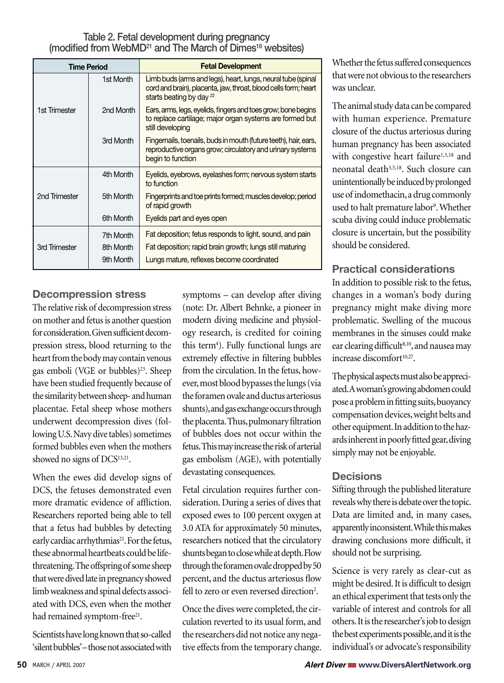Table 2. Fetal development during pregnancy (modified from WebMD21 and The March of Dimes16 websites)

| <b>Time Period</b> |                        | <b>Fetal Development</b>                                                                                                                                               |  |
|--------------------|------------------------|------------------------------------------------------------------------------------------------------------------------------------------------------------------------|--|
|                    | 1st Month              | Limb buds (arms and legs), heart, lungs, neural tube (spinal<br>cord and brain), placenta, jaw, throat, blood cells form; heart<br>starts beating by day <sup>22</sup> |  |
| 1st Trimester      | 2nd Month              | Ears, arms, legs, eyelids, fingers and toes grow; bone begins<br>to replace cartilage; major organ systems are formed but<br>still developing                          |  |
|                    | 3rd Month              | Fingernails, toenails, buds in mouth (future teeth), hair, ears,<br>reproductive organs grow; circulatory and urinary systems<br>begin to function                     |  |
|                    | 4th Month              | Eyelids, eyebrows, eyelashes form; nervous system starts<br>to function                                                                                                |  |
| 2nd Trimester      | 5th Month              | Fingerprints and toe prints formed; muscles develop; period<br>of rapid growth                                                                                         |  |
|                    | 6th Month              | Eyelids part and eyes open                                                                                                                                             |  |
|                    | 7th Month<br>8th Month | Fat deposition; fetus responds to light, sound, and pain                                                                                                               |  |
| 3rd Trimester      | 9th Month              | Fat deposition; rapid brain growth; lungs still maturing<br>Lungs mature, reflexes become coordinated                                                                  |  |

### **Decompression stress**

The relative risk of decompression stress on mother and fetus is another question for consideration. Given sufficient decompression stress, blood returning to the heart from the body may contain venous gas emboli (VGE or bubbles)<sup>23</sup>. Sheep have been studied frequently because of the similarity between sheep- and human placentae. Fetal sheep whose mothers underwent decompression dives (following U.S. Navy dive tables) sometimes formed bubbles even when the mothers showed no signs of DCS<sup>13,21</sup>.

When the ewes did develop signs of DCS, the fetuses demonstrated even more dramatic evidence of affliction. Researchers reported being able to tell that a fetus had bubbles by detecting early cardiac arrhythmias<sup>21</sup>. For the fetus, these abnormal heartbeats could be lifethreatening. The offspring of some sheep that were dived late in pregnancy showed limb weakness and spinal defects associated with DCS, even when the mother had remained symptom-free<sup>21</sup>.

Scientists have long known that so-called 'silent bubbles' – those not associated with

symptoms – can develop after diving (note: Dr. Albert Behnke, a pioneer in modern diving medicine and physiology research, is credited for coining this term<sup>4</sup>). Fully functional lungs are extremely effective in filtering bubbles from the circulation. In the fetus, however, most blood bypasses the lungs (via the foramen ovale and ductus arteriosus shunts), and gas exchange occurs through the placenta. Thus, pulmonary filtration of bubbles does not occur within the fetus. This may increase the risk of arterial gas embolism (AGE), with potentially devastating consequences.

Fetal circulation requires further consideration. During a series of dives that exposed ewes to 100 percent oxygen at 3.0 ATA for approximately 50 minutes, researchers noticed that the circulatory shunts began to close while at depth. Flow through the foramen ovale dropped by 50 percent, and the ductus arteriosus flow fell to zero or even reversed direction<sup>2</sup>.

Once the dives were completed, the circulation reverted to its usual form, and the researchers did not notice any negative effects from the temporary change. Whether the fetus suffered consequences that were not obvious to the researchers was unclear.

The animal study data can be compared with human experience. Premature closure of the ductus arteriosus during human pregnancy has been associated with congestive heart failure<sup>1,3,18</sup> and neonatal death3,5,18. Such closure can unintentionally be induced by prolonged use of indomethacin, a drug commonly used to halt premature labor<sup>9</sup>. Whether scuba diving could induce problematic closure is uncertain, but the possibility should be considered.

# **Practical considerations**

In addition to possible risk to the fetus, changes in a woman's body during pregnancy might make diving more problematic. Swelling of the mucous membranes in the sinuses could make ear clearing difficult<sup>8,10</sup>, and nausea may increase discomfort<sup>10,27</sup>.

The physical aspects must also be appreciated. A woman's growing abdomen could pose a problem in fitting suits, buoyancy compensation devices, weight belts and other equipment. In addition to the hazards inherent in poorly fitted gear, diving simply may not be enjoyable.

## **Decisions**

Sifting through the published literature reveals why there is debate over the topic. Data are limited and, in many cases, apparently inconsistent. While this makes drawing conclusions more difficult, it should not be surprising.

Science is very rarely as clear-cut as might be desired. It is difficult to design an ethical experiment that tests only the variable of interest and controls for all others. It is the researcher's job to design the best experiments possible, and it is the individual's or advocate's responsibility